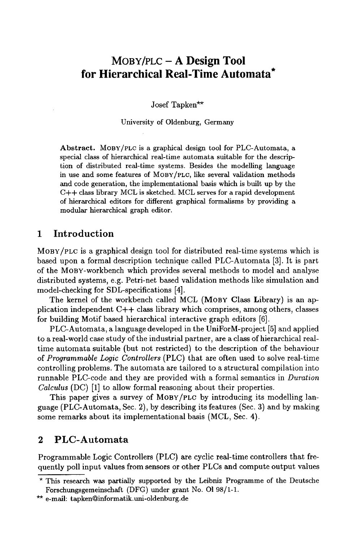# **MOBY/PLC -- A Design Tool for Hierarchical Real-Time Automata\***

Josef Tapken\*\*

University of Oldenburg, Germany

Abstract. MOBY/PLC is a graphical design tool for PLC-Automata, a special class of hierarchical real-time automata suitable for the description of distributed real-time systems. Besides the modelling language in use and some features of MOBY/PLC, like several validation methods and code generation, the implementational basis which is built up by the C++ class library MCL is sketched. MCL serves for a rapid development of hierarchical editors for different graphical formalisms by providing a modular hierarchical graph editor.

#### 1 Introduction

MOBY/PLC is a graphical design tool for distributed real-time systems which is based upon a formal description technique called PLC-Automata [3]. It is part of the MOBY-workbench which provides several methods to model and analyse distributed systems, e.g. Petri-net based validation methods like simulation and model-checking for SDL-specifications [4].

The kernel of the workbench called MCL (MOBY Class Library) is an application independent C++ class library which comprises, among others, classes for building Motif based hierarchical interactive graph editors [6].

PLC-Automata, a language developed in the UniForM-project [5] and applied to a real-world case study of the industrial partner, are a class of hierarchical realtime automata suitable (but not restricted) to the description of the behaviour of *Programmable Logic Controllers* (PLC) that are often used to solve real-time controlling problems. The automata are tailored to a structural compilation into runnable PLC-code and they are provided with a formal semantics in *Duration Calculus* (DC) [1] to allow formal reasoning about their properties.

This paper gives a survey of MOBY/PLC by introducing its modelling language (PLC-Automata, Sec. 2), by describing its features (Sec. 3) and by making some remarks about its implementational basis (MCL, Sec. 4).

#### 2 **PLC-Automata**

Programmable Logic Controllers (PLC) are cyclic real-time controllers that frequently poll input values from sensors or other PLCs and compute output values

<sup>\*</sup> This research was partially supported by the Leibniz Programme of the Deutsche Forschungsgemeinschaft (DFG) under grant No. O1 98/1-1.

<sup>\*\*</sup> e-mail: tapken@informatik.uai-oldenburg.de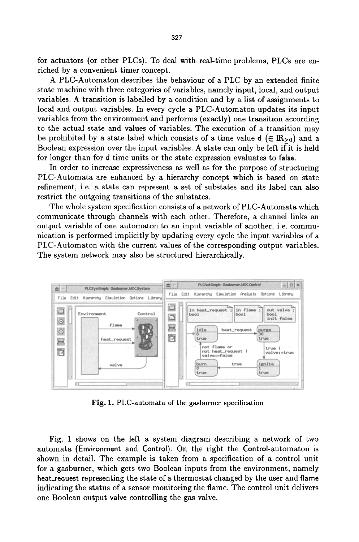for actuators (or other PLCs). To deal with real-time problems, PLCs are enriched by a convenient timer concept.

A PLC-Automaton describes the behaviour of a PLC by an extended finite state machine with three categories of variables, namely input, local, and output variables. A transition is labelled by a condition and by a list of assignments to local and output variables. In every cycle a PLC-Automaton updates its input variables from the environment and performs (exactly) one transition according to the actual state and values of variables. The execution of a transition may be prohibited by a state label which consists of a time value  $d \in \mathbb{R}_{\geq 0}$  and a Boolean expression over the input variables. A state can only be left if it is held for longer than for d time units or the state expression evaluates to false.

In order to increase expressiveness as well as for the purpose of structuring PLC-Automata are enhanced by a hierarchy concept which is based on state refinement, i.e. a state can represent a set of substates and its label can also restrict the outgoing transitions of the substates.

The whole system specification consists of a network of PLC-Automata which communicate through channels with each other. Therefore, a channel links an output variable of one automaton to an input variable of another, i.e. communication is performed implicitly by updating every cycle the input variables of a PLC-Automaton with the current values of the corresponding output variables. The system network may also be structured hierarchically.



Fig. 1. PLC-automata of the gasburner specification

Fig. 1 shows on the left a system diagram describing a network of two automata (Environment and Control). On the right the Control-automaton is shown in detail. The example is taken from a specification of a control unit for a gasburner, which gets two Boolean inputs from the environment, namely heat\_request representing the state of a thermostat changed by the user and flame indicating the status of a sensor monitoring the flame. The control unit delivers one Boolean output valve controlling the gas valve.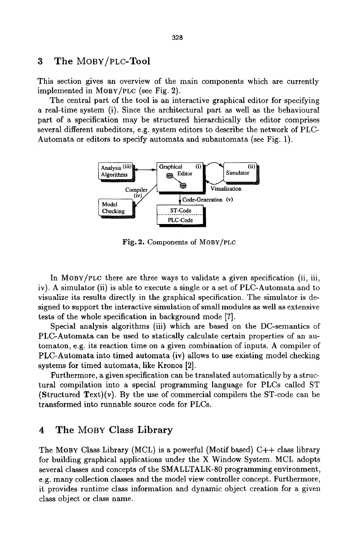#### 3 The MOBY/PLC-Tool

This section gives an overview of the main components which are currently implemented in MOBY/PLC (see Fig. 2).

The central part of the tool is an interactive graphical editor for specifying a real-time system (i). Since the architectural part as well as the behavioural part of a specification may be structured hierarchically the editor comprises several different subeditors, e.g. system editors to describe the network of PLC-Automata or editors to specify automata and subautomata (see Fig. 1).



Fig, 2. Components of MOBY/PLC

In MOBY/PLC there are three ways to validate a given specification (ii, iii, iv). A simulator (ii) is able to execute a single or a set of PLC-Automata and to visualize its results directly in the graphical specification. The simulator is designed to support the interactive simulation of small modules as well as extensive tests of the whole specification in background mode [7].

Special analysis algorithms (iii) which are based on the DC-semantics of PLC-Automata can be used to statically calculate certain properties of an automaton, e.g. its reaction time on a given combination of inputs. A compiler of PLC-Automata into timed automata (iv) allows to use existing model checking systems for timed automata, like Kronos [2].

Furthermore, a given specification can be translated automatically by a structural compilation into a special programming language for PLCs called ST (Structured Text) $(v)$ . By the use of commercial compilers the ST-code can be transformed into runnable source code for PLCs.

# 4 The MOBY Class Library

The MOBY Class Library (MCL) is a powerful (Motif based) C++ class library for building graphical applications under the X Window System. MCL adopts several classes and concepts of the SMALLTALK-80 programming environment, e.g. many collection classes and the model view controller concept. Furthermore, it provides runtime class information and dynamic object creation for a given class object or class name.